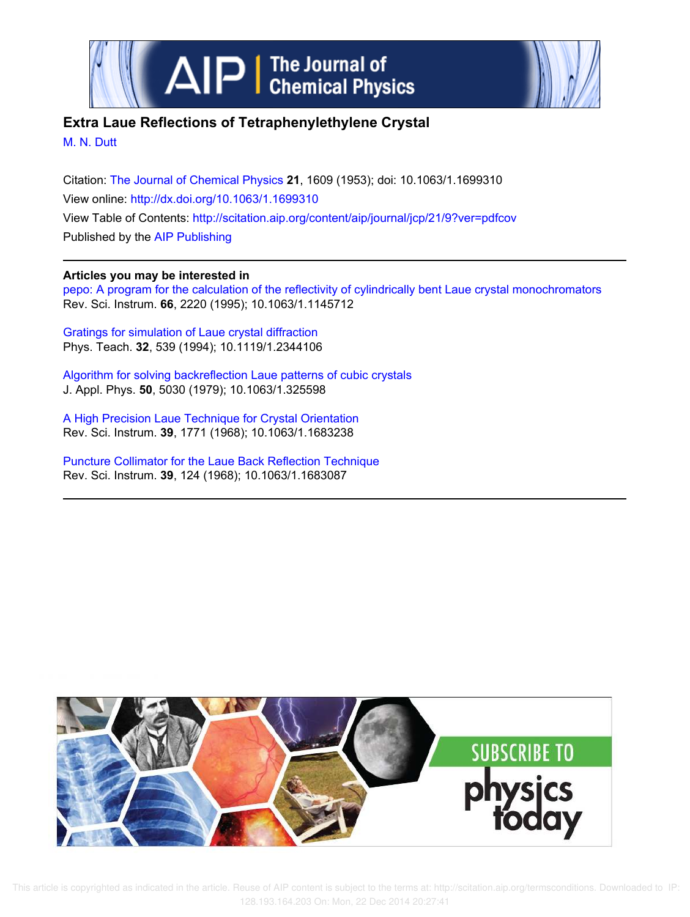



## **Extra Laue Reflections of Tetraphenylethylene Crystal**

M. N. Dutt

Citation: The Journal of Chemical Physics **21**, 1609 (1953); doi: 10.1063/1.1699310 View online: http://dx.doi.org/10.1063/1.1699310 View Table of Contents: http://scitation.aip.org/content/aip/journal/jcp/21/9?ver=pdfcov Published by the AIP Publishing

## **Articles you may be interested in**

pepo: A program for the calculation of the reflectivity of cylindrically bent Laue crystal monochromators Rev. Sci. Instrum. **66**, 2220 (1995); 10.1063/1.1145712

Gratings for simulation of Laue crystal diffraction Phys. Teach. **32**, 539 (1994); 10.1119/1.2344106

Algorithm for solving backreflection Laue patterns of cubic crystals J. Appl. Phys. **50**, 5030 (1979); 10.1063/1.325598

A High Precision Laue Technique for Crystal Orientation Rev. Sci. Instrum. **39**, 1771 (1968); 10.1063/1.1683238

Puncture Collimator for the Laue Back Reflection Technique Rev. Sci. Instrum. **39**, 124 (1968); 10.1063/1.1683087



 This article is copyrighted as indicated in the article. Reuse of AIP content is subject to the terms at: http://scitation.aip.org/termsconditions. Downloaded to IP: 128.193.164.203 On: Mon, 22 Dec 2014 20:27:41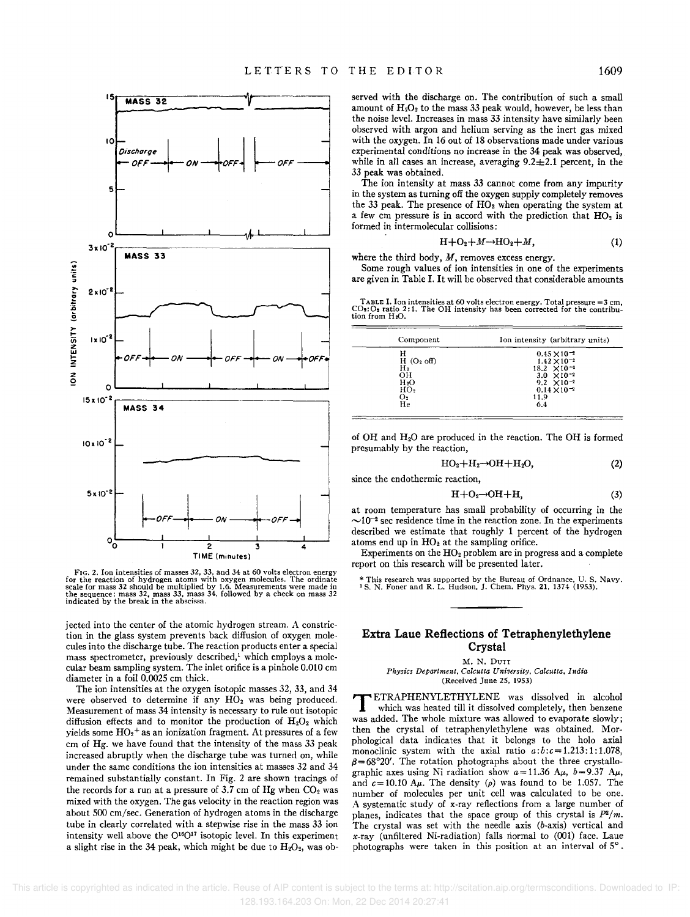(2)



FIG. 2. Ion intensities of masses 32. 33. and 34 at 60 volts electron energy for the reaction of hydrogen atoms with oxygen molecules. The ordinate scale for mass 32 should be multiplied by 1.6. Measurements were made in the sequence: mass 32, mass 33, mass 34, followed by a check on mass 32 indica

jected into the center of the atomic hydrogen stream. A constriction in the glass system prevents back diffusion of oxygen molecules into the discharge tube. The reaction products enter a special mass spectrometer, previously described,<sup>1</sup> which employs a molecular beam sampling system. The inlet orifice is a pinhole 0.010 em diameter in a foil 0.0025 em thick.

The ion intensities at the oxygen isotopic masses 32, 33, and 34 were observed to determine if any  $HO<sub>2</sub>$  was being produced. Measurement of mass 34 intensity is necessary to rule out isotopic diffusion effects and to monitor the production of  $H_2O_2$  which yields some  $HO<sub>2</sub>$ <sup>+</sup> as an ionization fragment. At pressures of a few em of Hg. we have found that the intensity of the mass 33 peak increased abruptly when the discharge tube was turned on, while under the same conditions the ion intensities at masses 32 and 34 remained substantially constant. In Fig. 2 are shown tracings of the records for a run at a pressure of 3.7 cm of Hg when  $CO<sub>2</sub>$  was mixed with the oxygen. The gas velocity in the reaction region was about 500 em/sec. Generation of hydrogen atoms in the discharge tube in clearly correlated with a stepwise rise in the mass 33 ion intensity well above the 0 <sup>16</sup>0 17 isotopic level. In this experiment a slight rise in the 34 peak, which might be due to  $H_2O_2$ , was observed with the discharge on. The contribution of such a small amount of  $H_2O_2$  to the mass 33 peak would, however, be less than the noise level. Increases in mass 33 intensity have similarly been observed with argon and helium serving as the inert gas mixed with the oxygen. In 16 out of 18 observations made under various experimental conditions no increase in the 34 peak was observed, while in all cases an increase, averaging  $9.2 \pm 2.1$  percent, in the 33 peak was obtained.

The ion intensity at mass 33 cannot come from any impurity in the system as turning off the oxygen supply completely removes the 33 peak. The presence of  $HO<sub>2</sub>$  when operating the system at a few cm pressure is in accord with the prediction that  $HO<sub>2</sub>$  is formed in intermolecular collisions:

$$
H + O2 + M \rightarrow HO2 + M,
$$
 (1)

where the third body,  $M$ , removes excess energy.

Some rough values of ion intensities in one of the experiments are given in Table I. It will be observed that considerable amounts

TABLE I. Ion intensities at 60 volts electron energy. Total pressure =3 cm, CO:: O: ratio 2:1. The OH intensity has been corrected for the contribu-<br>tion from H<sub>2</sub>O.

| Component        | Ion intensity (arbitrary units) |  |
|------------------|---------------------------------|--|
| н                | $0.45 \times 10^{-2}$           |  |
| $H(O2$ off)      | $1.42 \times 10^{-2}$           |  |
| н.               | $18.2 \times 10^{-2}$           |  |
| OН               | $3.0 \times 10^{-2}$            |  |
| H <sub>2</sub> O | $9.2 \times 10^{-2}$            |  |
| HO <sub>2</sub>  | $0.14 \times 10^{-2}$           |  |
| O <sub>2</sub>   | 11.9                            |  |
| He               | 6.4                             |  |

of OH and H20 are produced in the reaction. The OH is formed presumably by the reaction,

$$
\mathrm{HO_2{+}H_2{\rightarrow}OH{+}H_2O,}
$$

since the endothermic reaction,

$$
H + O2 \rightarrow OH + H,
$$
 (3)

at room temperature has small probability of occurring in the  $\sim$ 10<sup>-2</sup> sec residence time in the reaction zone. In the experiments described we estimate that roughly 1 percent of the hydrogen atoms end up in  $HO<sub>2</sub>$  at the sampling orifice.

Experiments on the  $HO<sub>2</sub>$  problem are in progress and a complete report on this research will be presented later.

\* This research was supported by the Bureau of Ordnance. U. S. Navy. <sup>1</sup>S. N. Foner and R. L. Hudson. J. Chern. Phys, 21. 1374 (1953).

## **Extra Laue Reflections of Tetraphenylethylene Crystal**

M.N. DUTT

*Physics Department. Calcutta University. Calcutta. India*  (Received June 25. 1953)

TETRAPHENYLETHYLENE was dissolved in alcohol which was heated till it dissolved completely, then benzene was added. The whole mixture was allowed to evaporate slowly; then the crystal of tetraphenylethylene was obtained. Morphological data indicates that it belongs to the holo axial monoclinic system with the axial ratio *a:b:c=1.213:1:1.078,*   $\beta$ =68°20'. The rotation photographs about the three crystallographic axes using Ni radiation show  $a=11.36$  A $\mu$ ,  $b=9.37$  A $\mu$ , and  $c = 10.10$  A $\mu$ . The density ( $\rho$ ) was found to be 1.057. The number of molecules per unit cell was calculated to be one. A systematic study of x-ray reflections from a large number of planes, indicates that the space group of this crystal is  $P^2/m$ . The crystal was set with the needle axis (b-axis) vertical and x-ray (unfiltered Ni-radiation) falls riormal to (001) face. Laue photographs were taken in this position at an interval of S° .